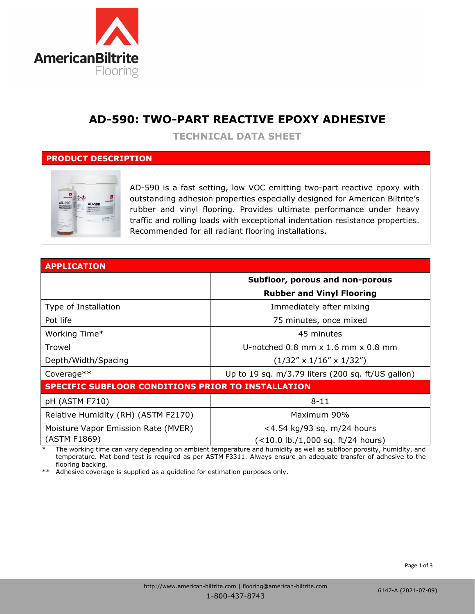

## **AD-590: TWO-PART REACTIVE EPOXY ADHESIVE**

**TECHNICAL DATA SHEET**

### **PRODUCT DESCRIPTION**



AD-590 is a fast setting, low VOC emitting two-part reactive epoxy with outstanding adhesion properties especially designed for American Biltrite's rubber and vinyl flooring. Provides ultimate performance under heavy traffic and rolling loads with exceptional indentation resistance properties. Recommended for all radiant flooring installations.

| <b>APPLICATION</b>                                        |                                                    |  |
|-----------------------------------------------------------|----------------------------------------------------|--|
|                                                           | Subfloor, porous and non-porous                    |  |
|                                                           | <b>Rubber and Vinyl Flooring</b>                   |  |
| Type of Installation                                      | Immediately after mixing                           |  |
| Pot life                                                  | 75 minutes, once mixed                             |  |
| Working Time*                                             | 45 minutes                                         |  |
| Trowel                                                    | U-notched $0.8$ mm $\times$ 1.6 mm $\times$ 0.8 mm |  |
| Depth/Width/Spacing                                       | $(1/32'' \times 1/16'' \times 1/32'')$             |  |
| Coverage**                                                | Up to 19 sq. m/3.79 liters (200 sq. ft/US gallon)  |  |
| <b>SPECIFIC SUBFLOOR CONDITIONS PRIOR TO INSTALLATION</b> |                                                    |  |
| pH (ASTM F710)                                            | $8 - 11$                                           |  |
| Relative Humidity (RH) (ASTM F2170)                       | Maximum 90%                                        |  |
| Moisture Vapor Emission Rate (MVER)                       | <4.54 kg/93 sq. m/24 hours                         |  |
| (ASTM F1869)                                              | (<10.0 lb./1,000 sq. ft/24 hours)                  |  |

The working time can vary depending on ambient temperature and humidity as well as subfloor porosity, humidity, and temperature. Mat bond test is required as per ASTM F3311. Always ensure an adequate transfer of adhesive to the flooring backing.

\*\* Adhesive coverage is supplied as a guideline for estimation purposes only.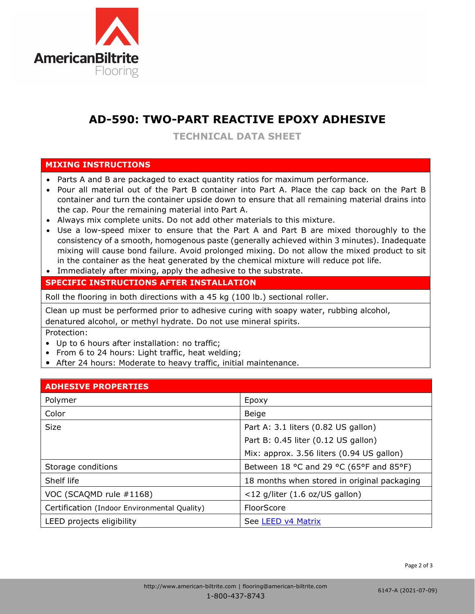

# **AD-590: TWO-PART REACTIVE EPOXY ADHESIVE**

**TECHNICAL DATA SHEET**

### **MIXING INSTRUCTIONS**

- Parts A and B are packaged to exact quantity ratios for maximum performance.
- Pour all material out of the Part B container into Part A. Place the cap back on the Part B container and turn the container upside down to ensure that all remaining material drains into the cap. Pour the remaining material into Part A.
- Always mix complete units. Do not add other materials to this mixture.
- Use a low-speed mixer to ensure that the Part A and Part B are mixed thoroughly to the consistency of a smooth, homogenous paste (generally achieved within 3 minutes). Inadequate mixing will cause bond failure. Avoid prolonged mixing. Do not allow the mixed product to sit in the container as the heat generated by the chemical mixture will reduce pot life.
- Immediately after mixing, apply the adhesive to the substrate.

## **SPECIFIC INSTRUCTIONS AFTER INSTALLATION**

Roll the flooring in both directions with a 45 kg (100 lb.) sectional roller.

Clean up must be performed prior to adhesive curing with soapy water, rubbing alcohol, denatured alcohol, or methyl hydrate. Do not use mineral spirits.

Protection:

- Up to 6 hours after installation: no traffic;
- From 6 to 24 hours: Light traffic, heat welding;
- After 24 hours: Moderate to heavy traffic, initial maintenance.

### **ADHESIVE PROPERTIES**

| APIILV I I IV I LIVI 1                       |                                             |
|----------------------------------------------|---------------------------------------------|
| Polymer                                      | Epoxy                                       |
| Color                                        | Beige                                       |
| <b>Size</b>                                  | Part A: 3.1 liters (0.82 US gallon)         |
|                                              | Part B: 0.45 liter (0.12 US gallon)         |
|                                              | Mix: approx. 3.56 liters (0.94 US gallon)   |
| Storage conditions                           | Between 18 °C and 29 °C (65°F and 85°F)     |
| Shelf life                                   | 18 months when stored in original packaging |
| VOC (SCAQMD rule #1168)                      | <12 g/liter (1.6 oz/US gallon)              |
| Certification (Indoor Environmental Quality) | FloorScore                                  |
| LEED projects eligibility                    | See LEED v4 Matrix                          |